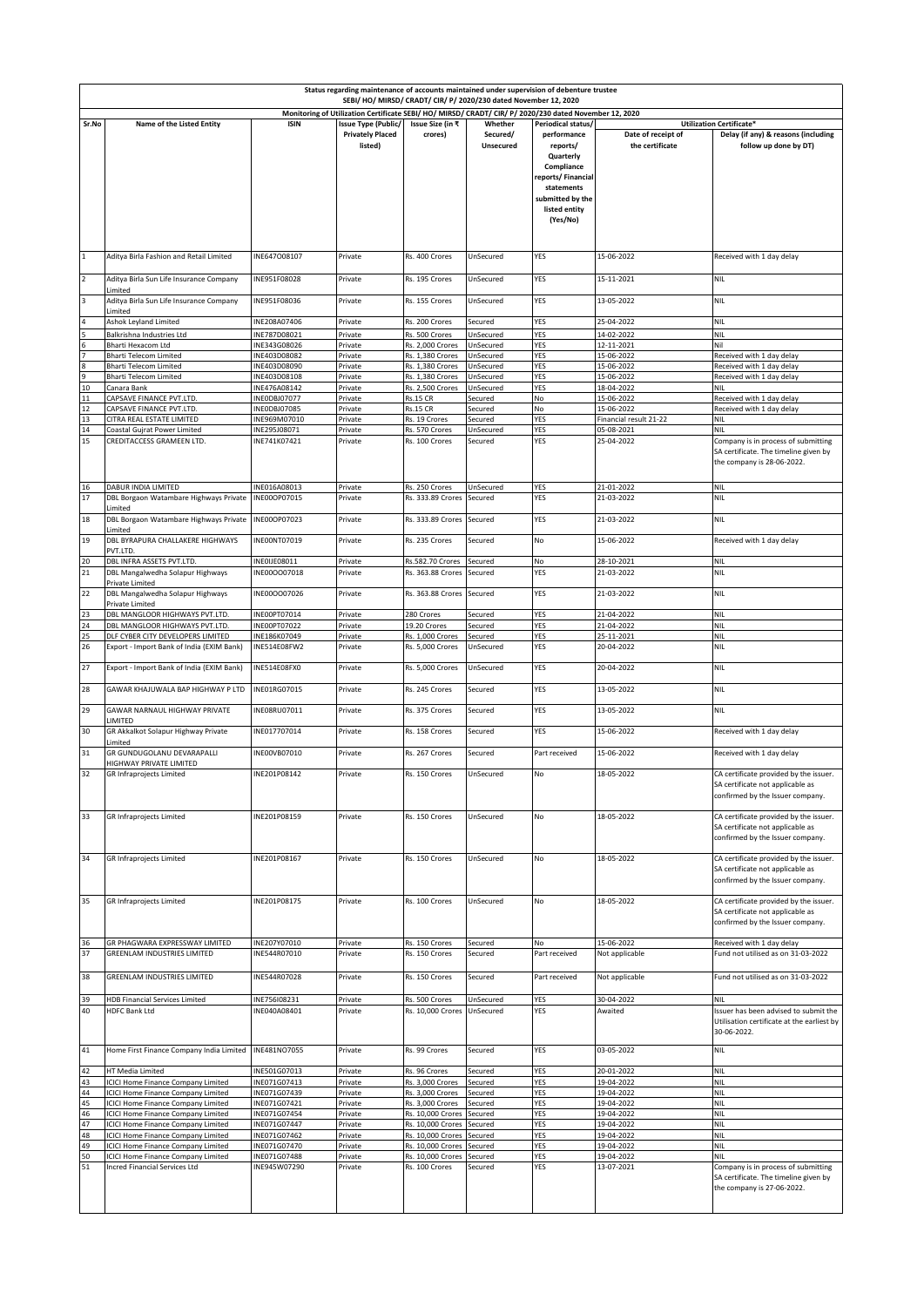| Status regarding maintenance of accounts maintained under supervision of debenture trustee<br>SEBI/ HO/ MIRSD/ CRADT/ CIR/ P/ 2020/230 dated November 12, 2020 |                                                                                                            |                                              |                                                                  |                                                    |                                  |                                                                                                                                                              |                                       |                                                                                                                  |
|----------------------------------------------------------------------------------------------------------------------------------------------------------------|------------------------------------------------------------------------------------------------------------|----------------------------------------------|------------------------------------------------------------------|----------------------------------------------------|----------------------------------|--------------------------------------------------------------------------------------------------------------------------------------------------------------|---------------------------------------|------------------------------------------------------------------------------------------------------------------|
| Monitoring of Utilization Certificate SEBI/ HO/ MIRSD/ CRADT/ CIR/ P/ 2020/230 dated November 12, 2020                                                         |                                                                                                            |                                              |                                                                  |                                                    |                                  |                                                                                                                                                              |                                       |                                                                                                                  |
| Sr.No                                                                                                                                                          | Name of the Listed Entity                                                                                  | <b>ISIN</b>                                  | <b>Issue Type (Public/</b><br><b>Privately Placed</b><br>listed) | Issue Size (in ₹<br>crores)                        | Whether<br>Secured/<br>Unsecured | Periodical status/<br>performance<br>reports/<br>Quarterly<br>Compliance<br>reports/Financial<br>statements<br>submitted by the<br>listed entity<br>(Yes/No) | Date of receipt of<br>the certificate | Utilization Certificate*<br>Delay (if any) & reasons (including<br>follow up done by DT)                         |
| $\mathbf{1}$                                                                                                                                                   | Aditya Birla Fashion and Retail Limited                                                                    | INE647008107                                 | Private                                                          | Rs. 400 Crores                                     | UnSecured                        | YES                                                                                                                                                          | 15-06-2022                            | Received with 1 day delay                                                                                        |
| $\overline{2}$                                                                                                                                                 | Aditya Birla Sun Life Insurance Company                                                                    | INE951F08028                                 | Private                                                          | Rs. 195 Crores                                     | UnSecured                        | YES                                                                                                                                                          | 15-11-2021                            | <b>NIL</b>                                                                                                       |
| $\overline{\mathbf{3}}$                                                                                                                                        | Limited<br>Aditya Birla Sun Life Insurance Company                                                         | INE951F08036                                 | Private                                                          | Rs. 155 Crores                                     | UnSecured                        | YES                                                                                                                                                          | 13-05-2022                            | <b>NIL</b>                                                                                                       |
|                                                                                                                                                                | Limited<br>Ashok Leyland Limited                                                                           | INE208A07406                                 | Private                                                          | Rs. 200 Crores                                     | Secured                          | YES                                                                                                                                                          | 25-04-2022                            | <b>NIL</b>                                                                                                       |
|                                                                                                                                                                | Balkrishna Industries Ltd                                                                                  | NE787D08021                                  | Private                                                          | Rs. 500 Crores                                     | UnSecured                        | YES                                                                                                                                                          | 14-02-2022                            | <b>NIL</b>                                                                                                       |
|                                                                                                                                                                | Bharti Hexacom Ltd<br>Bharti Telecom Limited                                                               | INE343G08026<br>INE403D08082                 | Private<br>Private                                               | Rs. 2,000 Crores<br>Rs. 1,380 Crores               | UnSecured<br>UnSecured           | YES<br>YES                                                                                                                                                   | 12-11-2021<br>15-06-2022              | Nil<br>Received with 1 day delay                                                                                 |
| 8                                                                                                                                                              | Bharti Telecom Limited                                                                                     | INE403D08090                                 | Private                                                          | Rs. 1,380 Crores                                   | UnSecured                        | YES                                                                                                                                                          | 15-06-2022                            | Received with 1 day delay                                                                                        |
| 9<br>$10$                                                                                                                                                      | <b>Bharti Telecom Limited</b><br>Canara Bank                                                               | INE403D08108<br>NE476A08142                  | Private<br>Private                                               | Rs. 1,380 Crores<br>Rs. 2,500 Crores               | UnSecured<br>UnSecured           | YES<br>YES                                                                                                                                                   | 15-06-2022<br>18-04-2022              | Received with 1 day delay<br><b>NIL</b>                                                                          |
| ${\bf 11}$                                                                                                                                                     | CAPSAVE FINANCE PVT.LTD.                                                                                   | INEODBJ07077                                 | Private                                                          | <b>Rs.15 CR</b>                                    | Secured                          | No                                                                                                                                                           | 15-06-2022                            | Received with 1 day delay                                                                                        |
| 12                                                                                                                                                             | CAPSAVE FINANCE PVT.LTD.                                                                                   | INEODBJ07085                                 | Private                                                          | <b>Rs.15 CR</b>                                    | Secured                          | No                                                                                                                                                           | 15-06-2022                            | Received with 1 day delay                                                                                        |
| 13<br>14                                                                                                                                                       | CITRA REAL ESTATE LIMITED<br>Coastal Gujrat Power Limited                                                  | INE969M07010<br>INE295J08071                 | Private<br>Private                                               | Rs. 19 Crores<br>Rs. 570 Crores                    | Secured<br>UnSecured             | YES<br>YES                                                                                                                                                   | Financial result 21-22<br>05-08-2021  | NIL<br>NIL                                                                                                       |
| 15                                                                                                                                                             | CREDITACCESS GRAMEEN LTD.                                                                                  | INE741K07421                                 | Private                                                          | Rs. 100 Crores                                     | Secured                          | YES                                                                                                                                                          | 25-04-2022                            | Company is in process of submitting<br>SA certificate. The timeline given by<br>the company is 28-06-2022.       |
| 16<br>17                                                                                                                                                       | DABUR INDIA LIMITED<br>DBL Borgaon Watambare Highways Private                                              | INE016A08013<br>INE00OP07015                 | Private<br>Private                                               | Rs. 250 Crores<br>Rs. 333.89 Crores                | UnSecured<br>Secured             | YES<br>YES                                                                                                                                                   | 21-01-2022<br>21-03-2022              | <b>NIL</b><br><b>NIL</b>                                                                                         |
| 18                                                                                                                                                             | Limited<br>DBL Borgaon Watambare Highways Private                                                          | INE00OP07023                                 | Private                                                          | Rs. 333.89 Crores                                  | Secured                          | YES                                                                                                                                                          | 21-03-2022                            | <b>NIL</b>                                                                                                       |
|                                                                                                                                                                | Limited                                                                                                    |                                              |                                                                  |                                                    |                                  |                                                                                                                                                              |                                       |                                                                                                                  |
| 19                                                                                                                                                             | DBL BYRAPURA CHALLAKERE HIGHWAYS<br>PVT.LTD.                                                               | INE00NT07019                                 | Private                                                          | Rs. 235 Crores                                     | Secured                          | No                                                                                                                                                           | 15-06-2022                            | Received with 1 day delay                                                                                        |
| 20<br>21                                                                                                                                                       | DBL INFRA ASSETS PVT.LTD.<br>DBL Mangalwedha Solapur Highways                                              | INEOIJE08011<br>INE00OO07018                 | Private<br>Private                                               | Rs.582.70 Crores<br>Rs. 363.88 Crores Secured      | Secured                          | No<br>YES                                                                                                                                                    | 28-10-2021<br>21-03-2022              | <b>NIL</b><br><b>NIL</b>                                                                                         |
| 22                                                                                                                                                             | Private Limited<br>DBL Mangalwedha Solapur Highways                                                        | INE00OO07026                                 | Private                                                          | Rs. 363.88 Crores Secured                          |                                  | YES                                                                                                                                                          | 21-03-2022                            | <b>NIL</b>                                                                                                       |
|                                                                                                                                                                | Private Limited                                                                                            |                                              |                                                                  |                                                    |                                  |                                                                                                                                                              |                                       |                                                                                                                  |
| 23<br>24                                                                                                                                                       | DBL MANGLOOR HIGHWAYS PVT.LTD.<br>DBL MANGLOOR HIGHWAYS PVT.LTD.                                           | INE00PT07014<br>INE00PT07022                 | Private<br>Private                                               | 280 Crores<br>19.20 Crores                         | Secured<br>Secured               | YES<br>YES                                                                                                                                                   | 21-04-2022<br>21-04-2022              | <b>NIL</b><br><b>NIL</b>                                                                                         |
| 25                                                                                                                                                             | DLF CYBER CITY DEVELOPERS LIMITED                                                                          | INE186K07049                                 | Private                                                          | Rs. 1,000 Crores                                   | Secured                          | YES                                                                                                                                                          | 25-11-2021                            | <b>NIL</b>                                                                                                       |
| 26                                                                                                                                                             | Export - Import Bank of India (EXIM Bank)                                                                  | INE514E08FW2                                 | Private                                                          | Rs. 5,000 Crores                                   | UnSecured                        | YES                                                                                                                                                          | 20-04-2022                            | <b>NIL</b>                                                                                                       |
| 27                                                                                                                                                             | Export - Import Bank of India (EXIM Bank)                                                                  | INE514E08FX0                                 | Private                                                          | Rs. 5,000 Crores                                   | UnSecured                        | YES                                                                                                                                                          | 20-04-2022                            | <b>NIL</b>                                                                                                       |
| 28                                                                                                                                                             | GAWAR KHAJUWALA BAP HIGHWAY P LTD                                                                          | INE01RG07015                                 | Private                                                          | Rs. 245 Crores                                     | Secured                          | YES                                                                                                                                                          | 13-05-2022                            | <b>NIL</b>                                                                                                       |
| 29                                                                                                                                                             | GAWAR NARNAUL HIGHWAY PRIVATE                                                                              | INE08RU07011                                 | Private                                                          | Rs. 375 Crores                                     | Secured                          | YES                                                                                                                                                          | 13-05-2022                            | <b>NIL</b>                                                                                                       |
| 30                                                                                                                                                             | LIMITED<br>GR Akkalkot Solapur Highway Private                                                             | INE017707014                                 | Private                                                          | Rs. 158 Crores                                     | Secured                          | YES                                                                                                                                                          | 15-06-2022                            | Received with 1 day delay                                                                                        |
| 31                                                                                                                                                             | Limited<br><b>GR GUNDUGOLANU DEVARAPALLI</b>                                                               | INE00VB07010                                 | Private                                                          | Rs. 267 Crores                                     | Secured                          | Part received                                                                                                                                                | 15-06-2022                            | Received with 1 day delay                                                                                        |
| 32                                                                                                                                                             | HIGHWAY PRIVATE LIMITED<br><b>GR Infraprojects Limited</b>                                                 | INE201P08142                                 | Private                                                          | Rs. 150 Crores                                     | UnSecured                        | No                                                                                                                                                           | 18-05-2022                            | CA certificate provided by the issuer.<br>SA certificate not applicable as<br>confirmed by the Issuer company.   |
| 33                                                                                                                                                             | <b>GR Infraprojects Limited</b>                                                                            | INE201P08159                                 | Private                                                          | Rs. 150 Crores                                     | UnSecured                        | No                                                                                                                                                           | 18-05-2022                            | CA certificate provided by the issuer.<br>SA certificate not applicable as<br>confirmed by the Issuer company.   |
| 34                                                                                                                                                             | GR Infraprojects Limited                                                                                   | INE201P08167                                 | Private                                                          | Rs. 150 Crores                                     | UnSecured                        | No                                                                                                                                                           | 18-05-2022                            | CA certificate provided by the issuer.<br>SA certificate not applicable as<br>confirmed by the Issuer company.   |
| 35                                                                                                                                                             | GR Infraprojects Limited                                                                                   | INE201P08175                                 | Private                                                          | Rs. 100 Crores                                     | UnSecured                        | No                                                                                                                                                           | 18-05-2022                            | CA certificate provided by the issuer.<br>SA certificate not applicable as<br>confirmed by the Issuer company.   |
| 36<br>37<br>38                                                                                                                                                 | GR PHAGWARA EXPRESSWAY LIMITED<br><b>GREENLAM INDUSTRIES LIMITED</b><br><b>GREENLAM INDUSTRIES LIMITED</b> | INE207Y07010<br>INE544R07010<br>INE544R07028 | Private<br>Private<br>Private                                    | Rs. 150 Crores<br>Rs. 150 Crores<br>Rs. 150 Crores | Secured<br>Secured<br>Secured    | No<br>Part received                                                                                                                                          | 15-06-2022<br>Not applicable          | Received with 1 day delay<br>Fund not utilised as on 31-03-2022<br>Fund not utilised as on 31-03-2022            |
|                                                                                                                                                                |                                                                                                            |                                              |                                                                  |                                                    |                                  | Part received                                                                                                                                                | Not applicable                        |                                                                                                                  |
| 39<br>40                                                                                                                                                       | <b>HDB Financial Services Limited</b><br><b>HDFC Bank Ltd</b>                                              | INE756I08231<br>INE040A08401                 | Private<br>Private                                               | Rs. 500 Crores<br>Rs. 10,000 Crores                | UnSecured<br>UnSecured           | YES<br>YES                                                                                                                                                   | 30-04-2022<br>Awaited                 | <b>NIL</b><br>Issuer has been advised to submit the<br>Utilisation certificate at the earliest by<br>30-06-2022. |
| 41                                                                                                                                                             | Home First Finance Company India Limited                                                                   | INE481NO7055                                 | Private                                                          | Rs. 99 Crores                                      | Secured                          | YES                                                                                                                                                          | 03-05-2022                            | <b>NIL</b>                                                                                                       |
| 42                                                                                                                                                             | HT Media Limited                                                                                           | INE501G07013                                 | Private                                                          | Rs. 96 Crores                                      | Secured                          | YES                                                                                                                                                          | 20-01-2022                            | <b>NIL</b>                                                                                                       |
| 43                                                                                                                                                             | ICICI Home Finance Company Limited<br><b>ICICI Home Finance Company Limited</b>                            | INE071G07413<br>INE071G07439                 | Private<br>Private                                               | Rs. 3,000 Crores<br>Rs. 3,000 Crores               | Secured<br>Secured               | YES<br>YES                                                                                                                                                   | 19-04-2022<br>19-04-2022              | <b>NIL</b><br><b>NIL</b>                                                                                         |
| 44<br>45                                                                                                                                                       | ICICI Home Finance Company Limited                                                                         | INE071G07421                                 | Private                                                          | Rs. 3,000 Crores                                   | Secured                          | YES                                                                                                                                                          | 19-04-2022                            | <b>NIL</b>                                                                                                       |
| 46                                                                                                                                                             | ICICI Home Finance Company Limited                                                                         | INE071G07454                                 | Private                                                          | Rs. 10,000 Crores                                  | Secured                          | YES                                                                                                                                                          | 19-04-2022                            | <b>NIL</b>                                                                                                       |
| 47                                                                                                                                                             | ICICI Home Finance Company Limited                                                                         | INE071G07447                                 | Private                                                          | Rs. 10,000 Crores                                  | Secured                          | YES<br>YES                                                                                                                                                   | 19-04-2022                            | <b>NIL</b>                                                                                                       |
| 48<br>49                                                                                                                                                       | ICICI Home Finance Company Limited<br>CICI Home Finance Company Limited                                    | INE071G07462<br>INE071G07470                 | Private<br>Private                                               | Rs. 10,000 Crores<br>Rs. 10,000 Crores             | Secured<br>Secured               | YES                                                                                                                                                          | 19-04-2022<br>19-04-2022              | <b>NIL</b><br><b>NIL</b>                                                                                         |
| 50                                                                                                                                                             | ICICI Home Finance Company Limited                                                                         | NE071G07488                                  | Private                                                          | Rs. 10,000 Crores                                  | Secured                          | YES                                                                                                                                                          | 19-04-2022                            | NIL                                                                                                              |
| 51                                                                                                                                                             | Incred Financial Services Ltd                                                                              | INE945W07290                                 | Private                                                          | Rs. 100 Crores                                     | Secured                          | YES                                                                                                                                                          | 13-07-2021                            | Company is in process of submitting<br>SA certificate. The timeline given by<br>the company is 27-06-2022.       |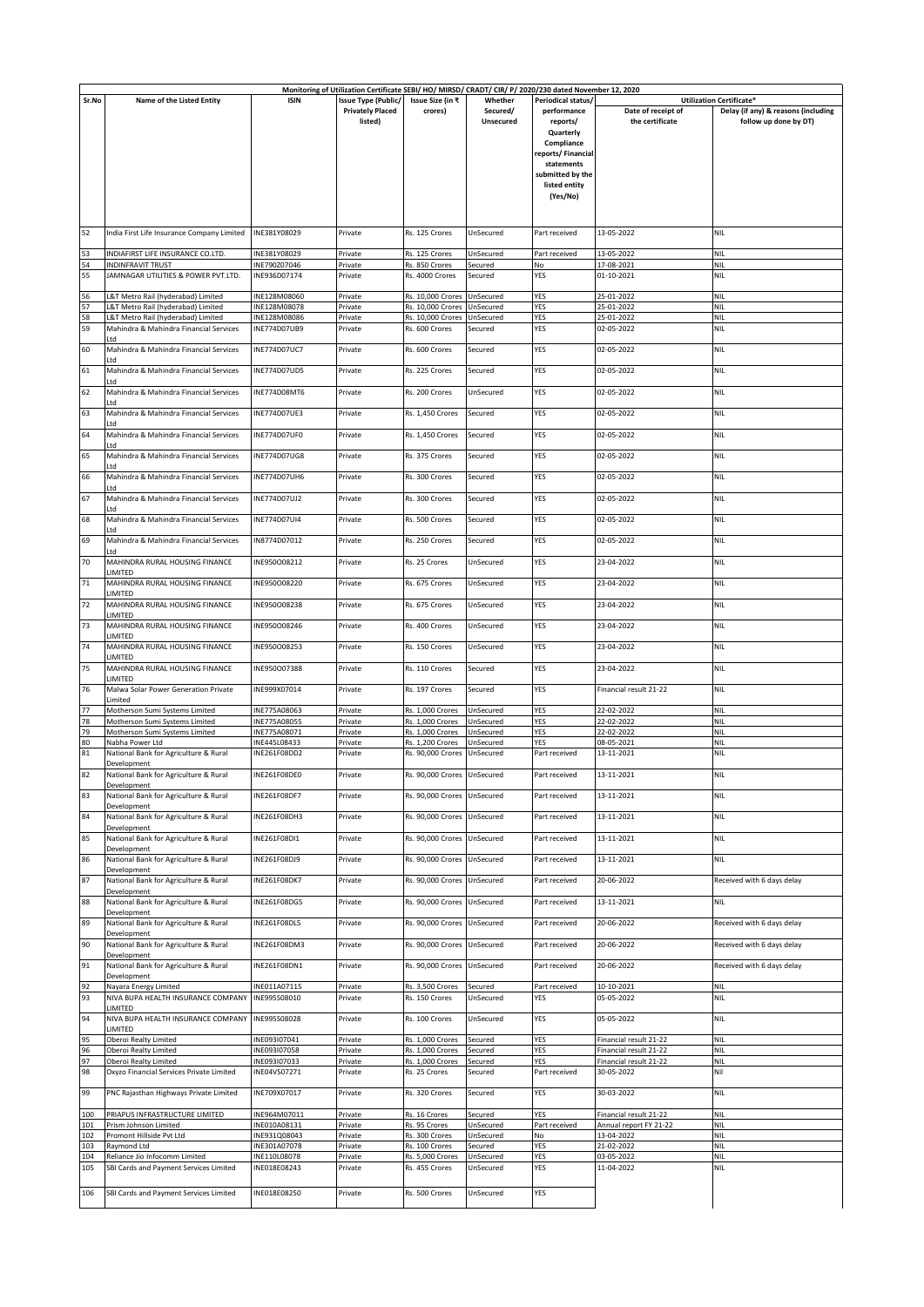|            |                                                          |                              |                                                       |                                                 | Monitoring of Utilization Certificate SEBI/ HO/ MIRSD/ CRADT/ CIR/ P/ 2020/230 dated November 12, 2020 |                                   |                                                  |                                                                 |
|------------|----------------------------------------------------------|------------------------------|-------------------------------------------------------|-------------------------------------------------|--------------------------------------------------------------------------------------------------------|-----------------------------------|--------------------------------------------------|-----------------------------------------------------------------|
| Sr.No      | Name of the Listed Entity                                | <b>ISIN</b>                  | <b>Issue Type (Public/</b><br><b>Privately Placed</b> | Issue Size (in ₹<br>crores)                     | Whether<br>Secured/                                                                                    | Periodical status/<br>performance | Date of receipt of                               | Utilization Certificate*<br>Delay (if any) & reasons (including |
|            |                                                          |                              | listed)                                               |                                                 | <b>Unsecured</b>                                                                                       | reports/                          | the certificate                                  | follow up done by DT)                                           |
|            |                                                          |                              |                                                       |                                                 |                                                                                                        | Quarterly                         |                                                  |                                                                 |
|            |                                                          |                              |                                                       |                                                 |                                                                                                        | Compliance                        |                                                  |                                                                 |
|            |                                                          |                              |                                                       |                                                 |                                                                                                        | reports/Financial                 |                                                  |                                                                 |
|            |                                                          |                              |                                                       |                                                 |                                                                                                        | statements<br>submitted by the    |                                                  |                                                                 |
|            |                                                          |                              |                                                       |                                                 |                                                                                                        | listed entity                     |                                                  |                                                                 |
|            |                                                          |                              |                                                       |                                                 |                                                                                                        | (Yes/No)                          |                                                  |                                                                 |
|            |                                                          |                              |                                                       |                                                 |                                                                                                        |                                   |                                                  |                                                                 |
|            |                                                          |                              |                                                       |                                                 |                                                                                                        |                                   |                                                  |                                                                 |
| 52         | India First Life Insurance Company Limited               | INE381Y08029                 | Private                                               | Rs. 125 Crores                                  | UnSecured                                                                                              | Part received                     | 13-05-2022                                       | <b>NIL</b>                                                      |
| 53         | INDIAFIRST LIFE INSURANCE CO.LTD.                        | INE381Y08029                 | Private                                               | Rs. 125 Crores                                  | UnSecured                                                                                              | Part received                     | 13-05-2022                                       | <b>NIL</b>                                                      |
| 54         | <b>INDINFRAVIT TRUST</b>                                 | INE790Z07046                 | Private                                               | Rs. 850 Crores                                  | Secured                                                                                                | No                                | 17-08-2021                                       | <b>NIL</b>                                                      |
| 55         | JAMNAGAR UTILITIES & POWER PVT.LTD.                      | INE936D07174                 | Private                                               | Rs. 4000 Crores                                 | Secured                                                                                                | YES                               | 01-10-2021                                       | <b>NIL</b>                                                      |
| 56         | L&T Metro Rail (hyderabad) Limited                       | INE128M08060                 | Private                                               | Rs. 10,000 Crores                               | UnSecured                                                                                              | YES                               | 25-01-2022                                       | <b>NIL</b>                                                      |
| 57         | L&T Metro Rail (hyderabad) Limited                       | INE128M08078                 | Private                                               | Rs. 10,000 Crores                               | UnSecured                                                                                              | YES                               | 25-01-2022                                       | <b>NIL</b>                                                      |
| 58         | L&T Metro Rail (hyderabad) Limited                       | INE128M08086                 | Private                                               | Rs. 10,000 Crores                               | UnSecured                                                                                              | YES                               | 25-01-2022                                       | <b>NIL</b>                                                      |
| 59         | Mahindra & Mahindra Financial Services<br>ht I           | INE774D07UB9                 | Private                                               | Rs. 600 Crores                                  | Secured                                                                                                | YES                               | 02-05-2022                                       | <b>NIL</b>                                                      |
| 60         | Mahindra & Mahindra Financial Services                   | INE774D07UC7                 | Private                                               | Rs. 600 Crores                                  | Secured                                                                                                | YES                               | 02-05-2022                                       | <b>NIL</b>                                                      |
|            | Ltd                                                      |                              |                                                       |                                                 |                                                                                                        |                                   |                                                  |                                                                 |
| 61         | Mahindra & Mahindra Financial Services<br>l td           | INE774D07UD5                 | Private                                               | Rs. 225 Crores                                  | Secured                                                                                                | YES                               | 02-05-2022                                       | <b>NIL</b>                                                      |
| 62         | Mahindra & Mahindra Financial Services                   | <b>INE774D08MT6</b>          | Private                                               | Rs. 200 Crores                                  | UnSecured                                                                                              | YES                               | 02-05-2022                                       | <b>NIL</b>                                                      |
|            | ht I                                                     |                              |                                                       |                                                 |                                                                                                        |                                   |                                                  |                                                                 |
| 63         | Mahindra & Mahindra Financial Services                   | <b>INE774D07UE3</b>          | Private                                               | Rs. 1,450 Crores                                | Secured                                                                                                | YES                               | 02-05-2022                                       | <b>NIL</b>                                                      |
| 64         | Mahindra & Mahindra Financial Services                   | INE774D07UF0                 | Private                                               | Rs. 1,450 Crores                                | Secured                                                                                                | YES                               | 02-05-2022                                       | <b>NIL</b>                                                      |
|            | ht I                                                     |                              |                                                       |                                                 |                                                                                                        |                                   |                                                  |                                                                 |
| 65         | Mahindra & Mahindra Financial Services                   | INE774D07UG8                 | Private                                               | Rs. 375 Crores                                  | Secured                                                                                                | YES                               | 02-05-2022                                       | <b>NIL</b>                                                      |
| 66         | ht I<br>Mahindra & Mahindra Financial Services           | INE774D07UH6                 | Private                                               | Rs. 300 Crores                                  | Secured                                                                                                | YES                               | 02-05-2022                                       | <b>NIL</b>                                                      |
|            | ht I                                                     |                              |                                                       |                                                 |                                                                                                        |                                   |                                                  |                                                                 |
| 67         | Mahindra & Mahindra Financial Services                   | INE774D07UJ2                 | Private                                               | Rs. 300 Crores                                  | Secured                                                                                                | YES                               | 02-05-2022                                       | <b>NIL</b>                                                      |
| 68         | Ltd<br>Mahindra & Mahindra Financial Services            | INE774D07UI4                 | Private                                               | Rs. 500 Crores                                  | Secured                                                                                                | YES                               | 02-05-2022                                       | <b>NIL</b>                                                      |
|            | ht I                                                     |                              |                                                       |                                                 |                                                                                                        |                                   |                                                  |                                                                 |
| 69         | Mahindra & Mahindra Financial Services                   | IN8774D07012                 | Private                                               | Rs. 250 Crores                                  | Secured                                                                                                | YES                               | 02-05-2022                                       | <b>NIL</b>                                                      |
| 70         | Ltd<br>MAHINDRA RURAL HOUSING FINANCE                    | INE950008212                 | Private                                               | Rs. 25 Crores                                   | UnSecured                                                                                              | YES                               | 23-04-2022                                       | <b>NIL</b>                                                      |
|            | <b>LIMITED</b>                                           |                              |                                                       |                                                 |                                                                                                        |                                   |                                                  |                                                                 |
| 71         | MAHINDRA RURAL HOUSING FINANCE                           | INE950O08220                 | Private                                               | Rs. 675 Crores                                  | UnSecured                                                                                              | YES                               | 23-04-2022                                       | <b>NIL</b>                                                      |
|            | LIMITED                                                  |                              |                                                       |                                                 |                                                                                                        |                                   |                                                  |                                                                 |
| 72         | MAHINDRA RURAL HOUSING FINANCE<br>LIMITED                | INE950O08238                 | Private                                               | Rs. 675 Crores                                  | UnSecured                                                                                              | YES                               | 23-04-2022                                       | <b>NIL</b>                                                      |
| 73         | MAHINDRA RURAL HOUSING FINANCE                           | INE950O08246                 | Private                                               | Rs. 400 Crores                                  | UnSecured                                                                                              | YES                               | 23-04-2022                                       | <b>NIL</b>                                                      |
|            | LIMITED                                                  |                              |                                                       |                                                 |                                                                                                        |                                   |                                                  |                                                                 |
| 74         | MAHINDRA RURAL HOUSING FINANCE<br>LIMITED                | INE950O08253                 | Private                                               | Rs. 150 Crores                                  | UnSecured                                                                                              | YES                               | 23-04-2022                                       | <b>NIL</b>                                                      |
| 75         | MAHINDRA RURAL HOUSING FINANCE                           | INE950O07388                 | Private                                               | Rs. 110 Crores                                  | Secured                                                                                                | YES                               | 23-04-2022                                       | <b>NIL</b>                                                      |
|            | LIMITED                                                  |                              |                                                       |                                                 |                                                                                                        |                                   |                                                  |                                                                 |
| 76         | Malwa Solar Power Generation Private<br>Limited          | INE999X07014                 | Private                                               | Rs. 197 Crores                                  | Secured                                                                                                | YES                               | Financial result 21-22                           | <b>NIL</b>                                                      |
| 77         | Motherson Sumi Systems Limited                           | INE775A08063                 | Private                                               | Rs. 1,000 Crores                                | UnSecured                                                                                              | YES                               | 22-02-2022                                       | <b>NIL</b>                                                      |
| 78         | Motherson Sumi Systems Limited                           | INE775A08055                 | Private                                               | Rs. 1,000 Crores                                | UnSecured                                                                                              | YES                               | 22-02-2022                                       | <b>NIL</b>                                                      |
| 79         | Motherson Sumi Systems Limited                           | INE775A08071<br>INE445L08433 | Private                                               | Rs. 1,000 Crores                                | UnSecured<br>UnSecured                                                                                 | YES                               | 22-02-2022                                       | <b>NIL</b>                                                      |
| 80<br>81   | Nabha Power Ltd<br>National Bank for Agriculture & Rural | INE261F08DD2                 | Private<br>Private                                    | Rs. 1,200 Crores<br>Rs. 90,000 Crores UnSecured |                                                                                                        | YES<br>Part received              | 08-05-2021<br>13-11-2021                         | <b>NIL</b><br><b>NIL</b>                                        |
|            | Development                                              |                              |                                                       |                                                 |                                                                                                        |                                   |                                                  |                                                                 |
| 82         | National Bank for Agriculture & Rural                    | INE261F08DE0                 | Private                                               | Rs. 90,000 Crores UnSecured                     |                                                                                                        | Part received                     | 13-11-2021                                       | <b>NIL</b>                                                      |
| 83         | Development<br>National Bank for Agriculture & Rural     | INE261F08DF7                 | Private                                               | Rs. 90,000 Crores                               | UnSecured                                                                                              | Part received                     | 13-11-2021                                       | <b>NIL</b>                                                      |
|            | Development                                              |                              |                                                       |                                                 |                                                                                                        |                                   |                                                  |                                                                 |
| 84         | National Bank for Agriculture & Rural                    | INE261F08DH3                 | Private                                               | Rs. 90,000 Crores                               | UnSecured                                                                                              | Part received                     | 13-11-2021                                       | <b>NIL</b>                                                      |
| 85         | Development<br>National Bank for Agriculture & Rural     | INE261F08DI1                 | Private                                               | Rs. 90,000 Crores                               | UnSecured                                                                                              | Part received                     | 13-11-2021                                       | <b>NIL</b>                                                      |
|            | Development                                              |                              |                                                       |                                                 |                                                                                                        |                                   |                                                  |                                                                 |
| 86         | National Bank for Agriculture & Rural                    | INE261F08DJ9                 | Private                                               | Rs. 90,000 Crores                               | UnSecured                                                                                              | Part received                     | 13-11-2021                                       | <b>NIL</b>                                                      |
| 87         | Development<br>National Bank for Agriculture & Rural     | INE261F08DK7                 | Private                                               | Rs. 90,000 Crores                               | UnSecured                                                                                              | Part received                     | 20-06-2022                                       | Received with 6 days delay                                      |
|            | Development                                              |                              |                                                       |                                                 |                                                                                                        |                                   |                                                  |                                                                 |
| 88         | National Bank for Agriculture & Rural                    | INE261F08DG5                 | Private                                               | Rs. 90,000 Crores                               | UnSecured                                                                                              | Part received                     | 13-11-2021                                       | <b>NIL</b>                                                      |
| 89         | Development<br>National Bank for Agriculture & Rural     | INE261F08DL5                 | Private                                               | Rs. 90,000 Crores                               | UnSecured                                                                                              | Part received                     | 20-06-2022                                       | Received with 6 days delay                                      |
|            | Development                                              |                              |                                                       |                                                 |                                                                                                        |                                   |                                                  |                                                                 |
| 90         | National Bank for Agriculture & Rural                    | INE261F08DM3                 | Private                                               | Rs. 90,000 Crores                               | UnSecured                                                                                              | Part received                     | 20-06-2022                                       | Received with 6 days delay                                      |
| 91         | Development                                              |                              |                                                       |                                                 |                                                                                                        |                                   |                                                  |                                                                 |
|            | National Bank for Agriculture & Rural<br>Development     | INE261F08DN1                 | Private                                               | Rs. 90,000 Crores                               | UnSecured                                                                                              | Part received                     | 20-06-2022                                       | Received with 6 days delay                                      |
| 92         | Nayara Energy Limited                                    | INE011A07115                 | Private                                               | Rs. 3,500 Crores                                | Secured                                                                                                | Part received                     | 10-10-2021                                       | <b>NIL</b>                                                      |
| 93         | NIVA BUPA HEALTH INSURANCE COMPANY                       | INE995S08010                 | Private                                               | Rs. 150 Crores                                  | UnSecured                                                                                              | YES                               | 05-05-2022                                       | <b>NIL</b>                                                      |
| 94         | LIMITED<br>NIVA BUPA HEALTH INSURANCE COMPANY            | INE995S08028                 | Private                                               | Rs. 100 Crores                                  | UnSecured                                                                                              | YES                               | 05-05-2022                                       | <b>NIL</b>                                                      |
|            | LIMITED                                                  |                              |                                                       |                                                 |                                                                                                        |                                   |                                                  |                                                                 |
| 95         | Oberoi Realty Limited                                    | INE093107041                 | Private                                               | Rs. 1,000 Crores                                | Secured                                                                                                | YES                               | Financial result 21-22                           | <b>NIL</b>                                                      |
| 96         | Oberoi Realty Limited<br>Oberoi Realty Limited           | INE093107058<br>INE093107033 | Private<br>Private                                    | Rs. 1,000 Crores<br>Rs. 1,000 Crores            | Secured<br>Secured                                                                                     | YES<br>YES                        | Financial result 21-22<br>Financial result 21-22 | <b>NIL</b><br><b>NIL</b>                                        |
| 97<br>98   | Oxyzo Financial Services Private Limited                 | INE04VS07271                 | Private                                               | Rs. 25 Crores                                   | Secured                                                                                                | Part received                     | 30-05-2022                                       | Nil                                                             |
|            |                                                          |                              |                                                       |                                                 |                                                                                                        |                                   |                                                  |                                                                 |
| 99         | PNC Rajasthan Highways Private Limited                   | INE709X07017                 | Private                                               | Rs. 320 Crores                                  | Secured                                                                                                | YES                               | 30-03-2022                                       | <b>NIL</b>                                                      |
| 100        | PRIAPUS INFRASTRUCTURE LIMITED                           | INE964M07011                 | Private                                               | Rs. 16 Crores                                   | Secured                                                                                                | YES                               | Financial result 21-22                           | <b>NIL</b>                                                      |
| 101        | Prism Johnson Limited                                    | INE010A08131                 | Private                                               | Rs. 95 Crores                                   | UnSecured                                                                                              | Part received                     | Annual report FY 21-22                           | <b>NIL</b>                                                      |
| 102        | Promont Hillside Pvt Ltd                                 | INE931Q08043                 | Private                                               | Rs. 300 Crores                                  | UnSecured                                                                                              | No                                | 13-04-2022                                       | <b>NIL</b>                                                      |
| 103<br>104 | Raymond Ltd<br>Reliance Jio Infocomm Limited             | INE301A07078<br>INE110L08078 | Private<br>Private                                    | Rs. 100 Crores<br>Rs. 5,000 Crores              | Secured<br>UnSecured                                                                                   | YES<br>YES                        | 21-02-2022<br>03-05-2022                         | <b>NIL</b><br><b>NIL</b>                                        |
| 105        | SBI Cards and Payment Services Limited                   | INE018E08243                 | Private                                               | Rs. 455 Crores                                  | UnSecured                                                                                              | YES                               | 11-04-2022                                       | <b>NIL</b>                                                      |
|            |                                                          |                              |                                                       |                                                 |                                                                                                        |                                   |                                                  |                                                                 |
| 106        | SBI Cards and Payment Services Limited                   | INE018E08250                 | Private                                               | Rs. 500 Crores                                  | UnSecured                                                                                              | YES                               |                                                  |                                                                 |
|            |                                                          |                              |                                                       |                                                 |                                                                                                        |                                   |                                                  |                                                                 |